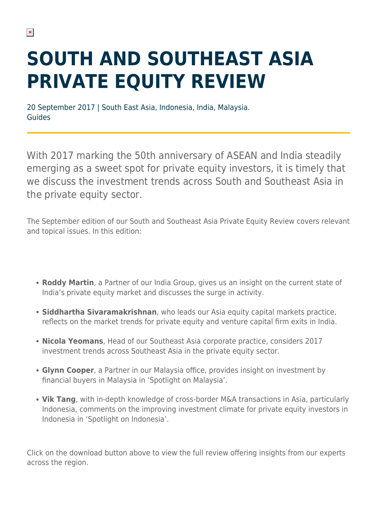## **SOUTH AND SOUTHEAST ASIA PRIVATE EQUITY REVIEW**

20 September 2017 | South East Asia, Indonesia, India, Malaysia. Guides

With 2017 marking the 50th anniversary of ASEAN and India steadily emerging as a sweet spot for private equity investors, it is timely that we discuss the investment trends across South and Southeast Asia in the private equity sector.

The September edition of our South and Southeast Asia Private Equity Review covers relevant and topical issues. In this edition:

- **Roddy Martin**, a Partner of our India Group, gives us an insight on the current state of India's private equity market and discusses the surge in activity.
- **Siddhartha Sivaramakrishnan**, who leads our Asia equity capital markets practice, reflects on the market trends for private equity and venture capital firm exits in India.
- **Nicola Yeomans**, Head of our Southeast Asia corporate practice, considers 2017 investment trends across Southeast Asia in the private equity sector.
- **Glynn Cooper**, a Partner in our Malaysia office, provides insight on investment by financial buyers in Malaysia in 'Spotlight on Malaysia'.
- **Vik Tang**, with in-depth knowledge of cross-border M&A transactions in Asia, particularly Indonesia, comments on the improving investment climate for private equity investors in Indonesia in 'Spotlight on Indonesia'.

Click on the download button above to view the full review offering insights from our experts across the region.